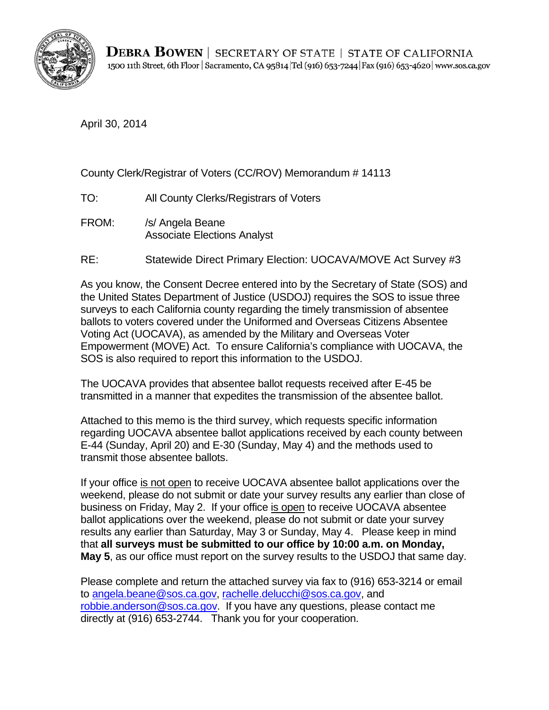

April 30, 2014

## County Clerk/Registrar of Voters (CC/ROV) Memorandum # 14113

- TO: All County Clerks/Registrars of Voters
- FROM: /s/ Angela Beane Associate Elections Analyst
- RE: Statewide Direct Primary Election: UOCAVA/MOVE Act Survey #3

As you know, the Consent Decree entered into by the Secretary of State (SOS) and the United States Department of Justice (USDOJ) requires the SOS to issue three surveys to each California county regarding the timely transmission of absentee ballots to voters covered under the Uniformed and Overseas Citizens Absentee Voting Act (UOCAVA), as amended by the Military and Overseas Voter Empowerment (MOVE) Act. To ensure California's compliance with UOCAVA, the SOS is also required to report this information to the USDOJ.

The UOCAVA provides that absentee ballot requests received after E-45 be transmitted in a manner that expedites the transmission of the absentee ballot.

Attached to this memo is the third survey, which requests specific information regarding UOCAVA absentee ballot applications received by each county between E-44 (Sunday, April 20) and E-30 (Sunday, May 4) and the methods used to transmit those absentee ballots.

that all surveys must be submitted to our office by 10:00 a.m. on Monday, If your office is not open to receive UOCAVA absentee ballot applications over the weekend, please do not submit or date your survey results any earlier than close of business on Friday, May 2. If your office is open to receive UOCAVA absentee ballot applications over the weekend, please do not submit or date your survey results any earlier than Saturday, May 3 or Sunday, May 4. Please keep in mind May 5, as our office must report on the survey results to the USDOJ that same day.

Please complete and return the attached survey via fax to (916) 653-3214 or email to angela.beane@sos.ca.gov, rachelle.delucchi@sos.ca.gov, and robbie.anderson@sos.ca.gov. If you have any questions, please contact me directly at (916) 653-2744. Thank you for your cooperation.